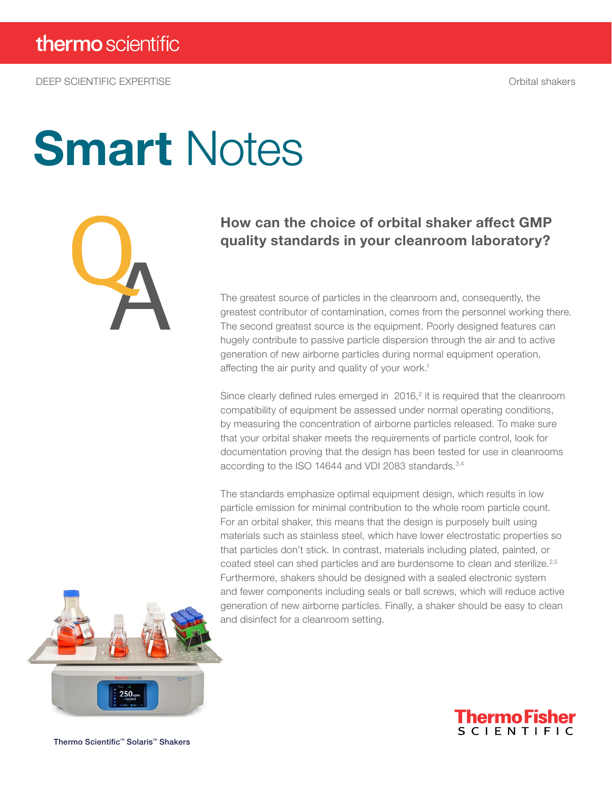DEEP SCIENTIFIC EXPERTISE Orbital shakers

# **Smart Notes**



### How can the choice of orbital shaker affect GMP quality standards in your cleanroom laboratory?

The greatest source of particles in the cleanroom and, consequently, the greatest contributor of contamination, comes from the personnel working there. The second greatest source is the equipment. Poorly designed features can hugely contribute to passive particle dispersion through the air and to active generation of new airborne particles during normal equipment operation, affecting the air purity and quality of your work.<sup>1</sup>

Since clearly defined rules emerged in  $2016$ <sup>2</sup> it is required that the cleanroom compatibility of equipment be assessed under normal operating conditions, by measuring the concentration of airborne particles released. To make sure that your orbital shaker meets the requirements of particle control, look for documentation proving that the design has been tested for use in cleanrooms according to the ISO 14644 and VDI 2083 standards.3,4

The standards emphasize optimal equipment design, which results in low particle emission for minimal contribution to the whole room particle count. For an orbital shaker, this means that the design is purposely built using materials such as stainless steel, which have lower electrostatic properties so that particles don't stick. In contrast, materials including plated, painted, or coated steel can shed particles and are burdensome to clean and sterilize.<sup>2,5</sup> Furthermore, shakers should be designed with a sealed electronic system and fewer components including seals or ball screws, which will reduce active generation of new airborne particles. Finally, a shaker should be easy to clean and disinfect for a cleanroom setting.





Thermo Scientific™ Solaris™ Shakers